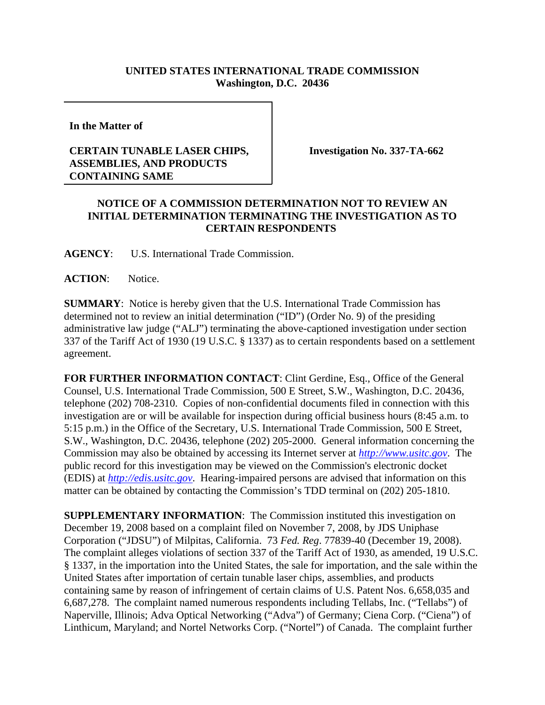## **UNITED STATES INTERNATIONAL TRADE COMMISSION Washington, D.C. 20436**

**In the Matter of** 

## **CERTAIN TUNABLE LASER CHIPS, ASSEMBLIES, AND PRODUCTS CONTAINING SAME**

**Investigation No. 337-TA-662**

## **NOTICE OF A COMMISSION DETERMINATION NOT TO REVIEW AN INITIAL DETERMINATION TERMINATING THE INVESTIGATION AS TO CERTAIN RESPONDENTS**

**AGENCY**: U.S. International Trade Commission.

ACTION: Notice.

**SUMMARY**: Notice is hereby given that the U.S. International Trade Commission has determined not to review an initial determination ("ID") (Order No. 9) of the presiding administrative law judge ("ALJ") terminating the above-captioned investigation under section 337 of the Tariff Act of 1930 (19 U.S.C. § 1337) as to certain respondents based on a settlement agreement.

**FOR FURTHER INFORMATION CONTACT**: Clint Gerdine, Esq., Office of the General Counsel, U.S. International Trade Commission, 500 E Street, S.W., Washington, D.C. 20436, telephone (202) 708-2310. Copies of non-confidential documents filed in connection with this investigation are or will be available for inspection during official business hours (8:45 a.m. to 5:15 p.m.) in the Office of the Secretary, U.S. International Trade Commission, 500 E Street, S.W., Washington, D.C. 20436, telephone (202) 205-2000. General information concerning the Commission may also be obtained by accessing its Internet server at *http://www.usitc.gov*. The public record for this investigation may be viewed on the Commission's electronic docket (EDIS) at *http://edis.usitc.gov*. Hearing-impaired persons are advised that information on this matter can be obtained by contacting the Commission's TDD terminal on (202) 205-1810.

**SUPPLEMENTARY INFORMATION**: The Commission instituted this investigation on December 19, 2008 based on a complaint filed on November 7, 2008, by JDS Uniphase Corporation ("JDSU") of Milpitas, California. 73 *Fed. Reg*. 77839-40 (December 19, 2008). The complaint alleges violations of section 337 of the Tariff Act of 1930, as amended, 19 U.S.C. § 1337, in the importation into the United States, the sale for importation, and the sale within the United States after importation of certain tunable laser chips, assemblies, and products containing same by reason of infringement of certain claims of U.S. Patent Nos. 6,658,035 and 6,687,278. The complaint named numerous respondents including Tellabs, Inc. ("Tellabs") of Naperville, Illinois; Adva Optical Networking ("Adva") of Germany; Ciena Corp. ("Ciena") of Linthicum, Maryland; and Nortel Networks Corp. ("Nortel") of Canada. The complaint further